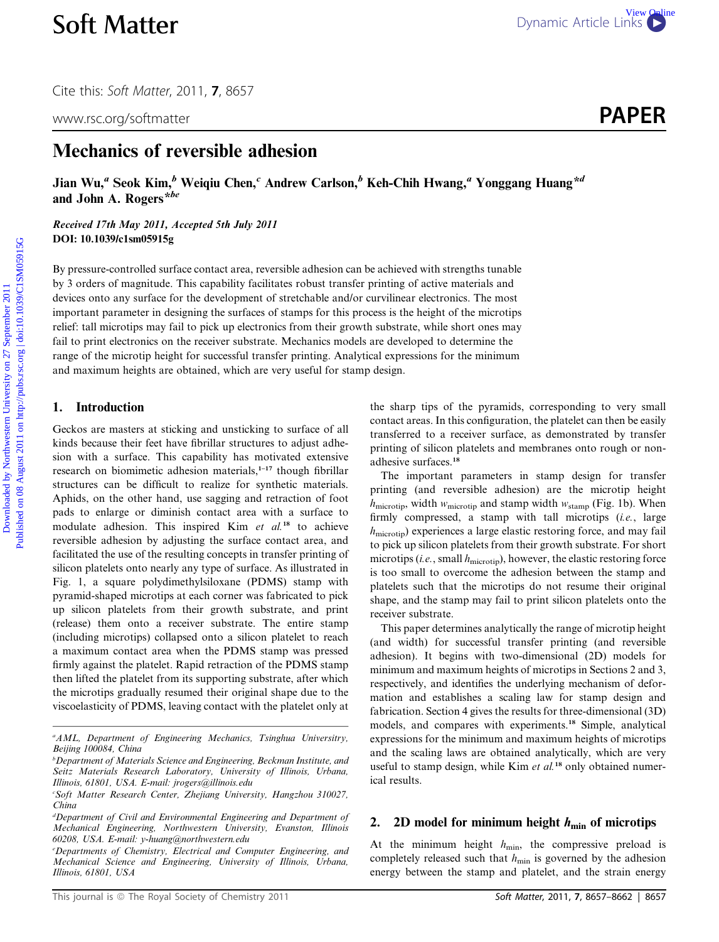Cite this: Soft Matter, 2011, <sup>7</sup>, 8657

www.rsc.org/softmatter **PAPER** 

# Mechanics of reversible adhesion

Jian Wu,<sup>a</sup> Seok Kim,<sup>b</sup> Weiqiu Chen,<sup>c</sup> Andrew Carlson,<sup>b</sup> Keh-Chih Hwang,<sup>a</sup> Yonggang Huang<sup>\*d</sup> and John A. Rogers<sup>\*be</sup>

Received 17th May 2011, Accepted 5th July 2011 DOI: 10.1039/c1sm05915g

By pressure-controlled surface contact area, reversible adhesion can be achieved with strengths tunable by 3 orders of magnitude. This capability facilitates robust transfer printing of active materials and devices onto any surface for the development of stretchable and/or curvilinear electronics. The most important parameter in designing the surfaces of stamps for this process is the height of the microtips relief: tall microtips may fail to pick up electronics from their growth substrate, while short ones may fail to print electronics on the receiver substrate. Mechanics models are developed to determine the range of the microtip height for successful transfer printing. Analytical expressions for the minimum and maximum heights are obtained, which are very useful for stamp design. **Soft Matter** Dynamic Article Links Comparison (11.7, 8657<br>
www.rsc.org/softmatter **PAPER**<br>
Mechanics of reversible adhesion<br>
Jian Wa" Seek Kim" Weiqu Chen, "Andrew Carlson," Keh-Chih Hwang," Yonggang Huang<sup>\*4</sup><br>
and John

## 1. Introduction

Geckos are masters at sticking and unsticking to surface of all kinds because their feet have fibrillar structures to adjust adhesion with a surface. This capability has motivated extensive research on biomimetic adhesion materials, $1-17$  though fibrillar structures can be difficult to realize for synthetic materials. Aphids, on the other hand, use sagging and retraction of foot pads to enlarge or diminish contact area with a surface to modulate adhesion. This inspired Kim  $et$   $al.^{18}$  to achieve reversible adhesion by adjusting the surface contact area, and facilitated the use of the resulting concepts in transfer printing of silicon platelets onto nearly any type of surface. As illustrated in Fig. 1, a square polydimethylsiloxane (PDMS) stamp with pyramid-shaped microtips at each corner was fabricated to pick up silicon platelets from their growth substrate, and print (release) them onto a receiver substrate. The entire stamp (including microtips) collapsed onto a silicon platelet to reach a maximum contact area when the PDMS stamp was pressed firmly against the platelet. Rapid retraction of the PDMS stamp then lifted the platelet from its supporting substrate, after which the microtips gradually resumed their original shape due to the viscoelasticity of PDMS, leaving contact with the platelet only at

the sharp tips of the pyramids, corresponding to very small contact areas. In this configuration, the platelet can then be easily transferred to a receiver surface, as demonstrated by transfer printing of silicon platelets and membranes onto rough or nonadhesive surfaces.<sup>18</sup>

The important parameters in stamp design for transfer printing (and reversible adhesion) are the microtip height  $h_{\text{microtip}}$ , width  $w_{\text{microtip}}$  and stamp width  $w_{\text{stamp}}$  (Fig. 1b). When firmly compressed, a stamp with tall microtips (i.e., large  $h_{\text{microtip}}$ ) experiences a large elastic restoring force, and may fail to pick up silicon platelets from their growth substrate. For short microtips (i.e., small  $h_{\text{microtip}}$ ), however, the elastic restoring force is too small to overcome the adhesion between the stamp and platelets such that the microtips do not resume their original shape, and the stamp may fail to print silicon platelets onto the receiver substrate.

This paper determines analytically the range of microtip height (and width) for successful transfer printing (and reversible adhesion). It begins with two-dimensional (2D) models for minimum and maximum heights of microtips in Sections 2 and 3, respectively, and identifies the underlying mechanism of deformation and establishes a scaling law for stamp design and fabrication. Section 4 gives the results for three-dimensional (3D) models, and compares with experiments.<sup>18</sup> Simple, analytical expressions for the minimum and maximum heights of microtips and the scaling laws are obtained analytically, which are very useful to stamp design, while Kim et  $al$ .<sup>18</sup> only obtained numerical results.

#### 2. 2D model for minimum height  $h_{\min}$  of microtips

At the minimum height  $h_{\min}$ , the compressive preload is completely released such that  $h_{\min}$  is governed by the adhesion energy between the stamp and platelet, and the strain energy

<sup>&</sup>lt;sup>a</sup> AML, Department of Engineering Mechanics, Tsinghua Universitry, Beijing 100084, China

 $^b$ Department of Materials Science and Engineering, Beckman Institute, and Seitz Materials Research Laboratory, University of Illinois, Urbana, Illinois, 61801, USA. E-mail: jrogers@illinois.edu

c Soft Matter Research Center, Zhejiang University, Hangzhou 310027, China

<sup>&</sup>lt;sup>d</sup>Department of Civil and Environmental Engineering and Department of Mechanical Engineering, Northwestern University, Evanston, Illinois 60208, USA. E-mail: y-huang@northwestern.edu

e Departments of Chemistry, Electrical and Computer Engineering, and Mechanical Science and Engineering, University of Illinois, Urbana, Illinois, 61801, USA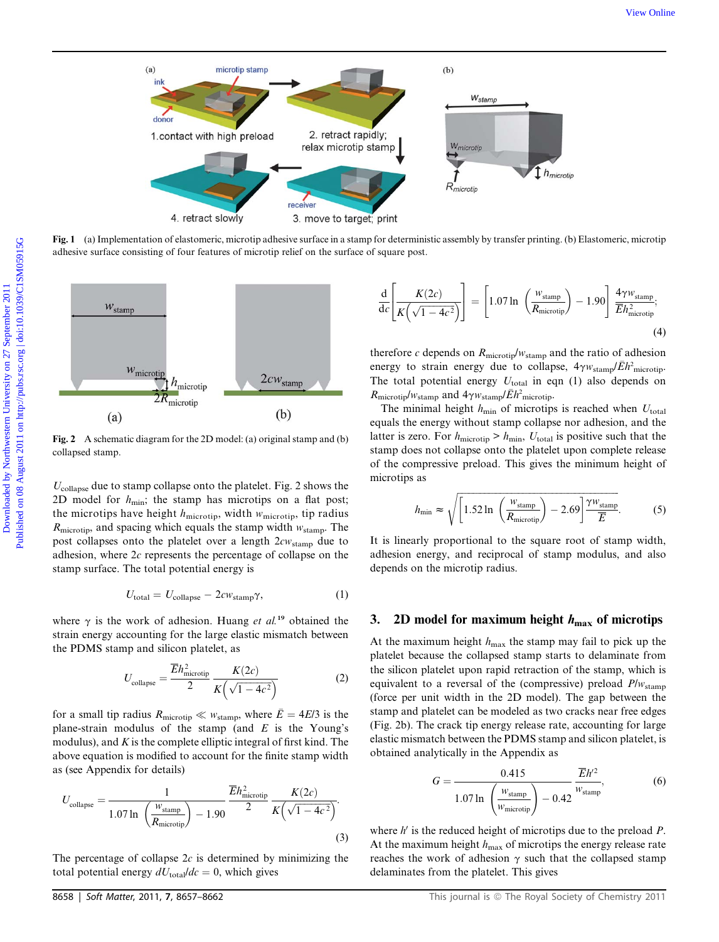

Fig. 1 (a) Implementation of elastomeric, microtip adhesive surface in a stamp for deterministic assembly by transfer printing. (b) Elastomeric, microtip adhesive surface consisting of four features of microtip relief on the surface of square post.



Fig. 2 A schematic diagram for the 2D model: (a) original stamp and (b) collapsed stamp.

 $U_{\text{collapse}}$  due to stamp collapse onto the platelet. Fig. 2 shows the 2D model for  $h_{\text{min}}$ ; the stamp has microtips on a flat post; the microtips have height  $h_{\text{microtip}}$ , width  $w_{\text{microtip}}$ , tip radius  $R_{\text{microtip}}$ , and spacing which equals the stamp width  $w_{\text{stamp}}$ . The post collapses onto the platelet over a length  $2cw_{\text{stamp}}$  due to adhesion, where 2c represents the percentage of collapse on the stamp surface. The total potential energy is

$$
U_{\text{total}} = U_{\text{collapse}} - 2\epsilon w_{\text{stamp}} \gamma,\tag{1}
$$

where  $\gamma$  is the work of adhesion. Huang *et al.*<sup>19</sup> obtained the strain energy accounting for the large elastic mismatch between the PDMS stamp and silicon platelet, as

$$
U_{\text{collapse}} = \frac{\overline{E}h_{\text{microtip}}^2}{2} \frac{K(2c)}{K(\sqrt{1-4c^2})}
$$
(2)

for a small tip radius  $R_{\text{microtip}} \ll w_{\text{stamp}}$ , where  $\bar{E} = 4E/3$  is the plane-strain modulus of the stamp (and  $E$  is the Young's modulus), and  $K$  is the complete elliptic integral of first kind. The above equation is modified to account for the finite stamp width as (see Appendix for details)

$$
U_{\text{collapse}} = \frac{1}{1.07 \ln \left(\frac{W_{\text{stamp}}}{R_{\text{microtip}}}\right) - 1.90} \frac{\overline{E}h_{\text{microtip}}^2}{2} \frac{K(2c)}{K\left(\sqrt{1 - 4c^2}\right)}.
$$
\n(3)

The percentage of collapse  $2c$  is determined by minimizing the total potential energy  $dU_{\text{total}}/dc = 0$ , which gives

$$
\frac{\mathrm{d}}{\mathrm{d}c} \left[ \frac{K(2c)}{K\left(\sqrt{1-4c^2}\right)} \right] = \left[ 1.07 \ln \left( \frac{w_{\text{stamp}}}{R_{\text{microtip}}} \right) - 1.90 \right] \frac{4\gamma w_{\text{stamp}}}{\overline{E}h_{\text{microtip}}^2};\tag{4}
$$

therefore c depends on  $R_{\text{microtip}}/w_{\text{stamp}}$  and the ratio of adhesion energy to strain energy due to collapse,  $4\gamma w_{\text{stamp}}/\bar{E}h^2_{\text{microtip}}$ .<br>The total potential energy  $I_L$  is equal to also depends on The total potential energy  $U_{total}$  in eqn (1) also depends on  $R_{\text{microtip}}/w_{\text{stamp}}$  and  $4\gamma w_{\text{stamp}}/\bar{E}h_{\text{microtip}}^2$ .<br>The minimal beight  $h_{\text{max}}$  of microtin

The minimal height  $h_{\text{min}}$  of microtips is reached when  $U_{\text{total}}$ equals the energy without stamp collapse nor adhesion, and the latter is zero. For  $h_{\text{microtip}} > h_{\text{min}}$ ,  $U_{\text{total}}$  is positive such that the stamp does not collapse onto the platelet upon complete release of the compressive preload. This gives the minimum height of microtips as

$$
h_{\min} \approx \sqrt{\left[1.52 \ln \left(\frac{w_{\text{stamp}}}{R_{\text{microtip}}}\right) - 2.69\right] \frac{\gamma w_{\text{stamp}}}{\overline{E}}}. \tag{5}
$$

It is linearly proportional to the square root of stamp width, adhesion energy, and reciprocal of stamp modulus, and also depends on the microtip radius.

# 3. 2D model for maximum height  $h_{\text{max}}$  of microtips

At the maximum height  $h_{\text{max}}$  the stamp may fail to pick up the platelet because the collapsed stamp starts to delaminate from the silicon platelet upon rapid retraction of the stamp, which is equivalent to a reversal of the (compressive) preload  $P/w_{\text{stamp}}$ (force per unit width in the 2D model). The gap between the stamp and platelet can be modeled as two cracks near free edges (Fig. 2b). The crack tip energy release rate, accounting for large elastic mismatch between the PDMS stamp and silicon platelet, is obtained analytically in the Appendix as

$$
G = \frac{0.415}{1.07 \ln \left(\frac{w_{\text{stamp}}}{w_{\text{microtip}}}\right) - 0.42} \frac{\overline{E}h'^2}{w_{\text{stamp}}},\tag{6}
$$

where  $h'$  is the reduced height of microtips due to the preload  $P$ . At the maximum height  $h_{\text{max}}$  of microtips the energy release rate reaches the work of adhesion  $\gamma$  such that the collapsed stamp delaminates from the platelet. This gives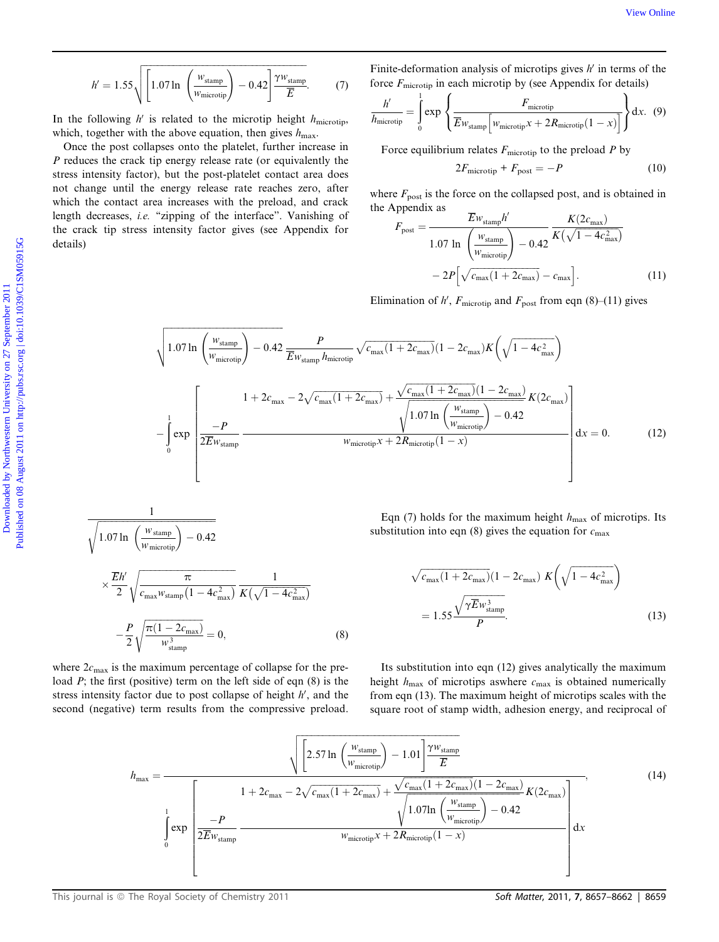$$
h' = 1.55 \sqrt{\left[1.07 \ln \left(\frac{w_{\text{stamp}}}{w_{\text{microtip}}}\right) - 0.42\right] \frac{\gamma w_{\text{stamp}}}{\overline{E}}}. \tag{7}
$$

In the following  $h'$  is related to the microtip height  $h_{\text{microit}}$ , which, together with the above equation, then gives  $h_{\text{max}}$ .

Once the post collapses onto the platelet, further increase in P reduces the crack tip energy release rate (or equivalently the stress intensity factor), but the post-platelet contact area does not change until the energy release rate reaches zero, after which the contact area increases with the preload, and crack length decreases, *i.e.* "zipping of the interface". Vanishing of the crack tip stress intensity factor gives (see Appendix for details)

Finite-deformation analysis of microtips gives  $h'$  in terms of the force  $F_{\text{microtip}}$  in each microtip by (see Appendix for details)

$$
\frac{h'}{h_{\text{microtip}}} = \int_{0}^{1} \exp \left\{ \frac{F_{\text{microtip}}}{\overline{E} w_{\text{stamp}} \left[ w_{\text{microtip}} x + 2 R_{\text{microtip}} (1 - x) \right]} \right\} dx. \tag{9}
$$

Force equilibrium relates  $F_{\text{microtip}}$  to the preload P by

$$
2F_{\text{microtip}} + F_{\text{post}} = -P \tag{10}
$$

where  $F_{\text{post}}$  is the force on the collapsed post, and is obtained in the Appendix as

$$
F_{\text{post}} = \frac{E_{W_{\text{stamp}}} h'}{1.07 \ln \left(\frac{w_{\text{stamp}}}{w_{\text{microtip}}}\right) - 0.42} \frac{K(2c_{\text{max}})}{K(\sqrt{1 - 4c_{\text{max}}^2})}
$$

$$
- 2P\left[\sqrt{c_{\text{max}}(1 + 2c_{\text{max}})} - c_{\text{max}}\right].
$$
(11)

Elimination of h',  $F_{\text{microtip}}$  and  $F_{\text{post}}$  from eqn (8)–(11) gives

*K* = 1.55
$$
\sqrt{\left[1.07 \ln \left(\frac{W_{\text{stamp}}}{W_{\text{intorobj}}}\right) - 0.42\right] \frac{W_{\text{stamp}}}{E}}{E}
$$
  
\nIn the following *N* is related to the microtip height  $h_{\text{microity}}$  (7) For the  $F_{\text{microity}}$  in each microtip by (see Appendix for details)  
\nIn the following *N* is related to the microtip height  $h_{\text{microity}}$  (8) 
$$
\frac{h}{h_{\text{microity}}} = \int_{0}^{L} \exp \left\{\frac{F_{\text{microity}}}{E_{W_{\text{stamp}}}\left[m_{\text{interiority}} + 2R_{\text{microity}}(1 - x)\right]}\right\} dx
$$
 (9) which, together with the above equation, then gives  $h_{\text{max}}$ .  
\nOnce the post-plastic cluster, further increase in  
\n*P* reduces the crack tip energy release rate (or equivalently the  
\nstress intensity factor), but the post-plateed contact area does not change will the range of the interference. The  
\nwhich the contact area increases with the predod, and crack  
\nthe red to the green's tree, and the red  
\nlength decreases, *i.e.* "zipping of the interface". Vanishing of  
\nthe crack tip stress intensity factor gives (see Appendix for  
\nthe crack tip stress intensity factor gives (see Appendix for  
\n
$$
F_{\text{post}} = \frac{F_{\text{tw}}}{F_{\text{post}}}
$$

$$
F_{\text{post}} = \frac{F_{\text{tw}}}{\left[1.07 \ln \left(\frac{W_{\text{atamp}}}{W_{\text{inovrop}}}\right) - 0.42} \frac{K(\sqrt{1 - 4c_{\text{max}}})}{K(\sqrt{1 - 4c_{\text{max}}})}
$$
(11)  
\nElimination of *N*,  $F_{\text{microity}}$  and  $F_{\text{post}}$  from eqn (8)–(11) gives  
\n
$$
-\int_{0}^{L} \exp \left[\frac{1 + 2c_{\text{max}} - 2\sqrt{c_{\text{max}}(1 + 2c_{\text{max}})}{1.07 \ln \left(\frac{W_{\text{atamp}}}{W_{\text{microity}}}\right) - 0.42} \frac{F}{2E_{W_{\text{stamp}}}}\frac{V_{\text{camp}}}{W_{\text{microity}} +
$$

$$
\frac{1}{\sqrt{1.07 \ln\left(\frac{W_{\text{stamp}}}{W_{\text{microtip}}}\right) - 0.42}}
$$
\n
$$
\times \frac{\overline{E}h'}{2} \sqrt{\frac{\pi}{c_{\text{max}}W_{\text{stamp}}\left(1 - 4c_{\text{max}}^2\right)}} \frac{1}{K\left(\sqrt{1 - 4c_{\text{max}}^2}\right)}
$$
\n
$$
-\frac{P}{2} \sqrt{\frac{\pi(1 - 2c_{\text{max}})}{w_{\text{stamp}}^3}} = 0,
$$
\n(8)

Eqn (7) holds for the maximum height  $h_{\text{max}}$  of microtips. Its substitution into eqn (8) gives the equation for  $c_{\text{max}}$ 

$$
\sqrt{c_{\text{max}}(1 + 2c_{\text{max}})}(1 - 2c_{\text{max}}) K\left(\sqrt{1 - 4c_{\text{max}}^2}\right)
$$

$$
= 1.55 \frac{\sqrt{\gamma E} w_{\text{stamp}}^3}{P}.
$$
(13)

where  $2c_{\text{max}}$  is the maximum percentage of collapse for the preload  $P$ ; the first (positive) term on the left side of eqn  $(8)$  is the stress intensity factor due to post collapse of height  $h'$ , and the second (negative) term results from the compressive preload.

Its substitution into eqn (12) gives analytically the maximum height  $h_{\text{max}}$  of microtips aswhere  $c_{\text{max}}$  is obtained numerically from eqn (13). The maximum height of microtips scales with the square root of stamp width, adhesion energy, and reciprocal of

$$
h_{\max} = \frac{\sqrt{\left[2.57 \ln\left(\frac{W_{\text{stamp}}}{W_{\text{microtip}}}\right) - 1.01\right] \frac{\gamma w_{\text{stamp}}}{\overline{E}}}}{1 + 2c_{\max} - 2\sqrt{c_{\max}(1 + 2c_{\max})} + \frac{\sqrt{c_{\max}(1 + 2c_{\max})(1 - 2c_{\max})}}{\sqrt{1.07 \ln\left(\frac{W_{\text{stamp}}}{W_{\text{microtip}}}\right) - 0.42}} K(2c_{\max})}
$$
\n(14)\n
$$
\int_{0}^{1} \exp\left[\frac{-P}{2\overline{E}w_{\text{stamp}}}\right]
$$
\n
$$
w_{\text{microtip}}x + 2R_{\text{microtip}}(1 - x)
$$
\n(15)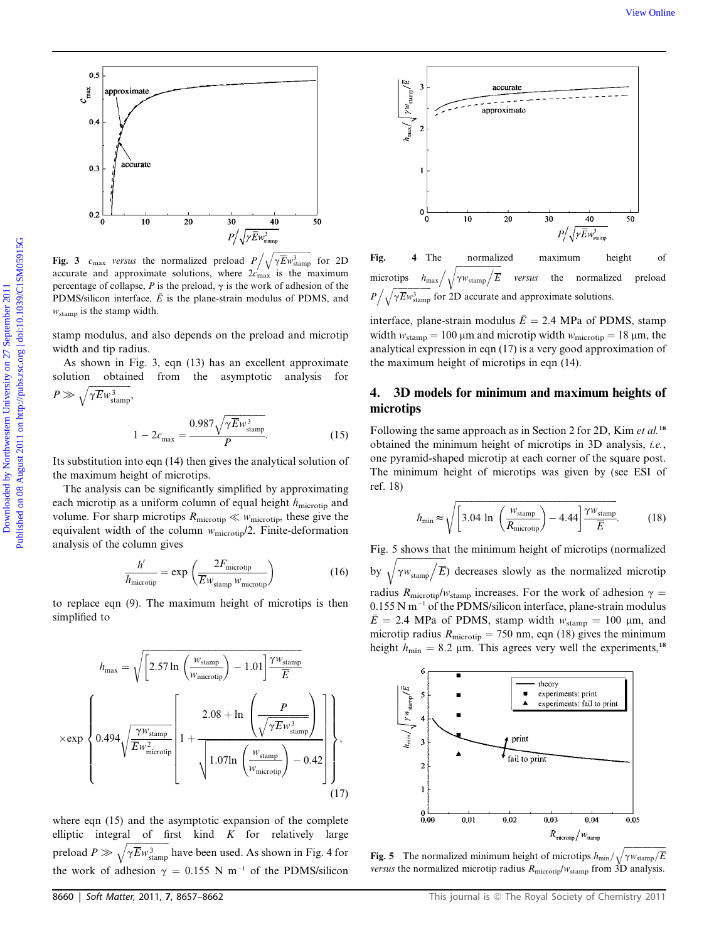

Fig. 3  $c_{\text{max}}$  versus the normalized preload  $P / \sqrt{\gamma E} w_{\text{stamp}}^3$  for 2D<br>accurate and approximate solutions, where  $2c$  is the maximum accurate and approximate solutions, where  $2c'_{\text{max}}$  is the maximum percentage of collapse, P is the preload,  $\gamma$  is the work of adhesion of the PDMS/silicon interface,  $\overline{E}$  is the plane-strain modulus of PDMS, and  $w_{\text{stamp}}$  is the stamp width.

stamp modulus, and also depends on the preload and microtip width and tip radius.

As shown in Fig. 3, eqn (13) has an excellent approximate solution obtained from the asymptotic analysis for  $P \gg \sqrt{\gamma E w_{\text{stamp}}^3},$ 

$$
1 - 2c_{\text{max}} = \frac{0.987\sqrt{\gamma \overline{E} w_{\text{stamp}}^3}}{P}.
$$
 (15)

Its substitution into eqn (14) then gives the analytical solution of the maximum height of microtips.

The analysis can be significantly simplified by approximating each microtip as a uniform column of equal height  $h_{\text{microtip}}$  and volume. For sharp microtips  $R_{\text{microtip}} \ll w_{\text{microtip}}$ , these give the equivalent width of the column  $w_{\text{microtip}}/2$ . Finite-deformation analysis of the column gives

$$
\frac{h'}{h_{\text{microtip}}} = \exp\left(\frac{2F_{\text{microtip}}}{\overline{E}w_{\text{stamp}}w_{\text{microtip}}}\right)
$$
(16)

to replace eqn (9). The maximum height of microtips is then simplified to

$$
h_{\text{max}} = \sqrt{\left[2.57 \ln \left(\frac{w_{\text{stamp}}}{w_{\text{microtip}}}\right) - 1.01\right] \frac{\gamma w_{\text{stamp}}}{\overline{E}}}
$$

$$
\times \exp\left\{ 0.494 \sqrt{\frac{\gamma w_{\text{stamp}}}{\overline{E}w_{\text{microtip}}^2}} \left[1 + \frac{2.08 + \ln \left(\frac{P}{\sqrt{\gamma \overline{E}w_{\text{stamp}}^3}}\right)}{1.07 \ln \left(\frac{w_{\text{stamp}}}{w_{\text{microtip}}}\right) - 0.42}\right] \right\},
$$
(17)

where eqn (15) and the asymptotic expansion of the complete elliptic integral of first kind  $K$  for relatively large preload  $P \gg \sqrt{\gamma E w_{\text{stamp}}^3}$  have been used. As shown in Fig. 4 for the work of adhesion  $\gamma = 0.155$  N m<sup>-1</sup> of the PDMS/silicon



Fig. 4 The normalized maximum height of microtips  $h_{\text{max}} / \sqrt{\gamma w_{\text{stamp}} / \overline{E}}$ versus the normalized preload  $P / \sqrt{\gamma E_{W_{\text{stamp}}^3}}$  for 2D accurate and approximate solutions.

interface, plane-strain modulus  $\bar{E} = 2.4$  MPa of PDMS, stamp width  $w_{\text{stamp}} = 100 \,\mu\text{m}$  and microtip width  $w_{\text{microtip}} = 18 \,\mu\text{m}$ , the analytical expression in eqn (17) is a very good approximation of the maximum height of microtips in eqn (14).

# 4. 3D models for minimum and maximum heights of microtips

Following the same approach as in Section 2 for 2D, Kim et al.<sup>18</sup> obtained the minimum height of microtips in 3D analysis, i.e., one pyramid-shaped microtip at each corner of the square post. The minimum height of microtips was given by (see ESI of ref. 18)

$$
h_{\min} \approx \sqrt{\left[3.04 \text{ ln} \left(\frac{w_{\text{stamp}}}{R_{\text{microtip}}}\right) - 4.44\right] \frac{\gamma w_{\text{stamp}}}{\overline{E}}}. \tag{18}
$$

Fig. 5 shows that the minimum height of microtips (normalized by  $\sqrt{\gamma w_{\text{stamp}}/\overline{E}}$  decreases slowly as the normalized microtip radius  $R_{\text{microtip}}/w_{\text{stamp}}$  increases. For the work of adhesion  $\gamma$  =  $0.155$  N m<sup>-1</sup> of the PDMS/silicon interface, plane-strain modulus  $\bar{E}$  = 2.4 MPa of PDMS, stamp width  $w_{\text{stamp}}$  = 100 µm, and microtip radius  $R_{\text{microtip}} = 750 \text{ nm}$ , eqn (18) gives the minimum height  $h_{\text{min}} = 8.2$  µm. This agrees very well the experiments,<sup>18</sup>



**Fig. 5** The normalized minimum height of microtips  $h_{\text{min}}/\sqrt{\gamma w_{\text{stamp}}/\overline{E}}$ versus the normalized microtip radius  $R_{\text{microtip}}/w_{\text{stamp}}$  from 3D analysis.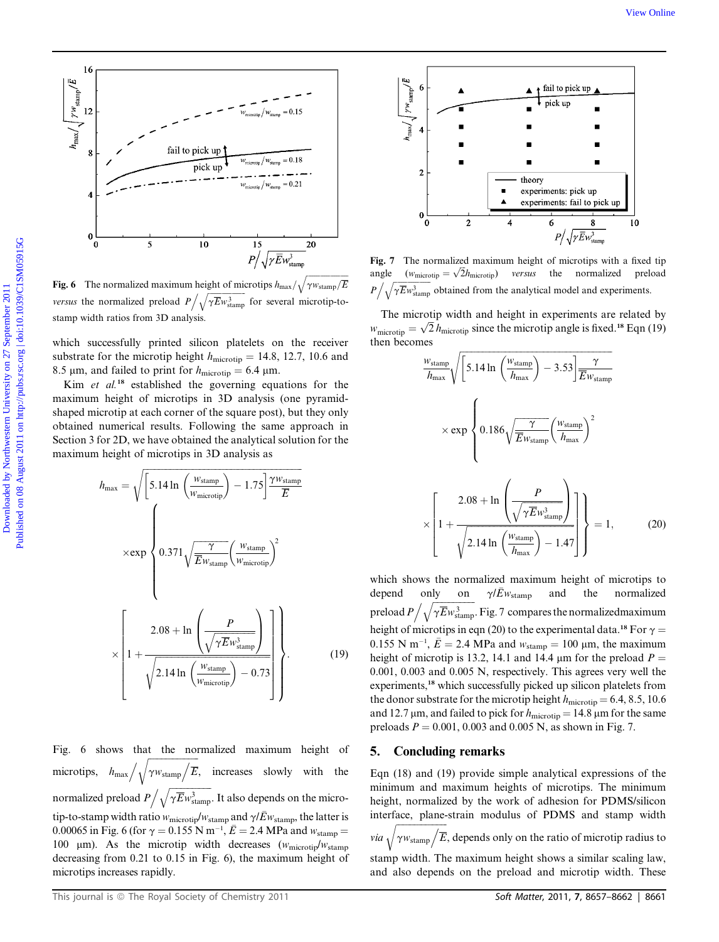

Fig. 6 The normalized maximum height of microtips  $h_{\text{max}}/\sqrt{\gamma w_{\text{stamp}}/E}$ *versus* the normalized preload  $P / \sqrt{\gamma E} w_{\text{stamp}}^3$  for several microtip-tostamp width ratios from 3D analysis.

which successfully printed silicon platelets on the receiver substrate for the microtip height  $h_{\text{microtip}} = 14.8, 12.7, 10.6$  and 8.5 µm, and failed to print for  $h_{\text{microtip}} = 6.4$  µm.

Kim *et al.*<sup>18</sup> established the governing equations for the maximum height of microtips in 3D analysis (one pyramidshaped microtip at each corner of the square post), but they only obtained numerical results. Following the same approach in Section 3 for 2D, we have obtained the analytical solution for the maximum height of microtips in 3D analysis as

$$
h_{\text{max}} = \sqrt{\left[5.14 \ln \left(\frac{w_{\text{stamp}}}{w_{\text{microtip}}}\right) - 1.75\right] \frac{\gamma w_{\text{stamp}}}{\overline{E}}}
$$

$$
\times \exp \left\{ 0.371 \sqrt{\frac{\gamma}{\overline{E}w_{\text{stamp}}}\left(\frac{w_{\text{stamp}}}{w_{\text{microtip}}}\right)^2} \right\}
$$

$$
\times \left[ 1 + \frac{2.08 + \ln \left(\frac{P}{\sqrt{\gamma \overline{E}w_{\text{stamp}}^3}}\right)}{\sqrt{2.14 \ln \left(\frac{w_{\text{stamp}}}{w_{\text{microtip}}}\right) - 0.73}} \right].
$$
(19)

Fig. 6 shows that the normalized maximum height of microtips,  $h_{\text{max}} / \sqrt{\gamma w_{\text{stamp}} / \overline{E}}$ , increases slowly with the normalized preload  $P / \sqrt{\gamma E} w_{\text{stamp}}^3$ . It also depends on the microtip-to-stamp width ratio  $w_{\text{microtip}}/w_{\text{stamp}}$  and  $\gamma/\bar{E}w_{\text{stamp}}$ , the latter is 0.00065 in Fig. 6 (for  $\gamma = 0.155$  N m<sup>-1</sup>,  $\vec{E} = 2.4$  MPa and  $w_{\text{stamp}} = 100$  um). As the microtin width decreases (w. s. by 100  $\mu$ m). As the microtip width decreases ( $w_{\text{microtip}}/w_{\text{stamp}}$ decreasing from 0.21 to 0.15 in Fig. 6), the maximum height of microtips increases rapidly.



Fig. 7 The normalized maximum height of microtips with a fixed tip angle  $(w_{\text{microtip}} = \sqrt{2})$ versus the normalized preload  $P / \sqrt{\gamma E_{W_{\text{stamp}}^3}}$  obtained from the analytical model and experiments.

The microtip width and height in experiments are related by  $w_{\text{microtip}} = \sqrt{2} h_{\text{microtip}}$  since the microtip angle is fixed.<sup>18</sup> Eqn (19) then becomes

$$
\frac{w_{\text{stamp}}}{h_{\text{max}}} \sqrt{\left[ 5.14 \ln \left( \frac{w_{\text{stamp}}}{h_{\text{max}}} \right) - 3.53 \right] \frac{\gamma}{\overline{E} w_{\text{stamp}}}}
$$

$$
\times \exp \left\{ 0.186 \sqrt{\frac{\gamma}{\overline{E} w_{\text{stamp}}}} \left( \frac{w_{\text{stamp}}}{h_{\text{max}}} \right)^2 \right\}
$$

$$
\times \left[ 1 + \frac{2.08 + \ln \left( \frac{P}{\sqrt{\gamma \overline{E} w_{\text{stamp}}^3}} \right)}{\sqrt{2.14 \ln \left( \frac{w_{\text{stamp}}}{h_{\text{max}}} \right) - 1.47}} \right] \right\} = 1, \qquad (20)
$$

which shows the normalized maximum height of microtips to depend only on  $\gamma/\bar{E}w_{\text{stamp}}$  and the normalized preload  $P / \sqrt{\gamma E w_{\text{stamp}}^3}$ . Fig. 7 compares the normalizedmaximum height of microtips in eqn (20) to the experimental data.<sup>18</sup> For  $\gamma$  =  $0.155$  N m<sup>-1</sup>,  $\bar{E} = 2.4$  MPa and  $w_{\text{stamp}} = 100$  µm, the maximum height of microtip is 13.2, 14.1 and 14.4  $\mu$ m for the preload  $P =$ 0.001, 0.003 and 0.005 N, respectively. This agrees very well the experiments,<sup>18</sup> which successfully picked up silicon platelets from the donor substrate for the microtip height  $h_{\text{microtip}} = 6.4, 8.5, 10.6$ and 12.7  $\mu$ m, and failed to pick for  $h_{\text{microtip}} = 14.8 \,\mu$ m for the same preloads  $P = 0.001, 0.003$  and 0.005 N, as shown in Fig. 7.

## 5. Concluding remarks

Eqn (18) and (19) provide simple analytical expressions of the minimum and maximum heights of microtips. The minimum height, normalized by the work of adhesion for PDMS/silicon interface, plane-strain modulus of PDMS and stamp width *via*  $\sqrt{\gamma w_{\text{stamp}}/\overline{E}}$ , depends only on the ratio of microtip radius to

stamp width. The maximum height shows a similar scaling law,

and also depends on the preload and microtip width. These